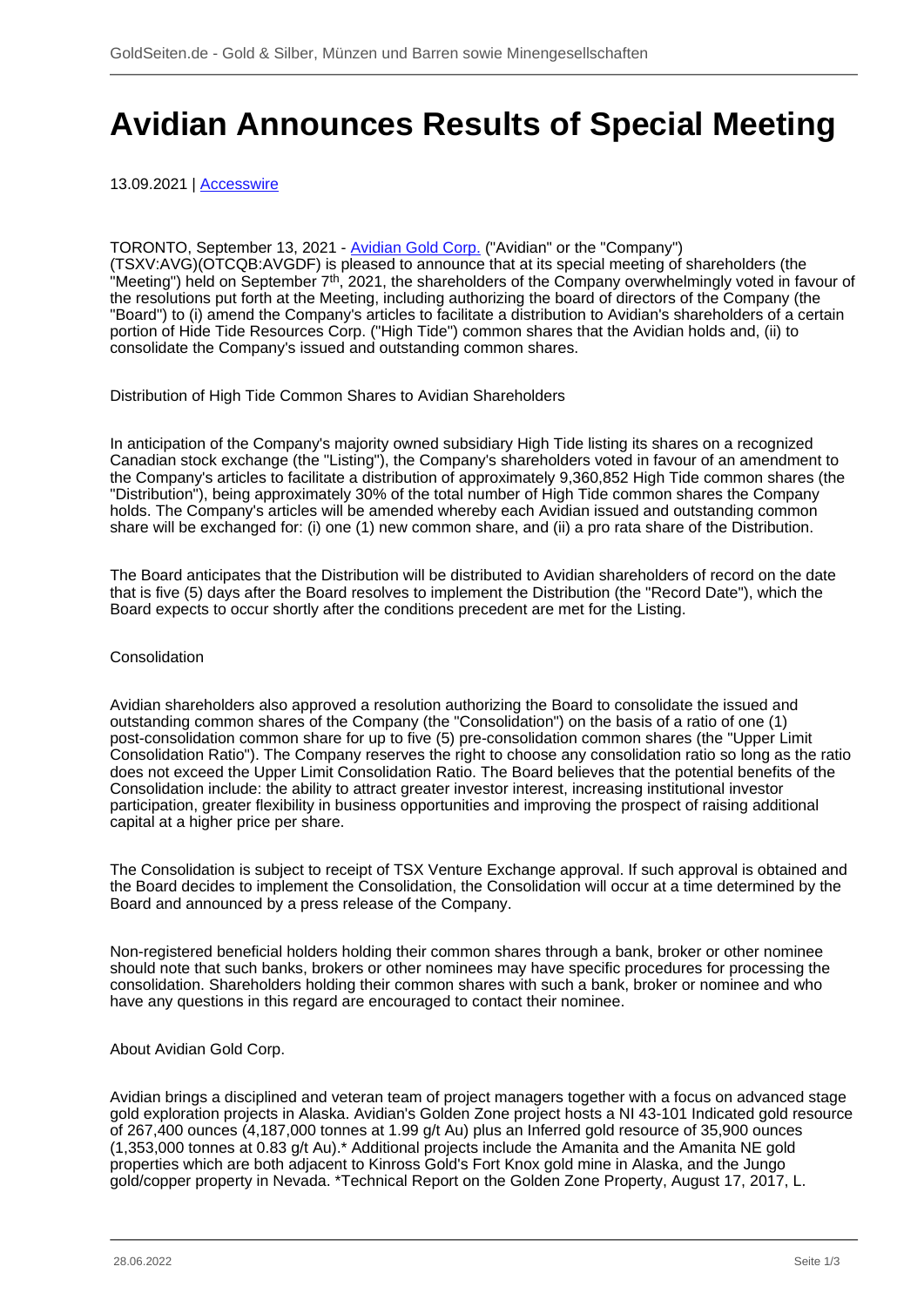# **Avidian Announces Results of Special Meeting**

13.09.2021 | [Accesswire](/profil/272--Accesswire)

TORONTO, September 13, 2021 - [Avidian Gold Corp.](/minen/3564--Avidian-Gold-Corp) ("Avidian" or the "Company") (TSXV:AVG)(OTCQB:AVGDF) is pleased to announce that at its special meeting of shareholders (the "Meeting") held on September 7<sup>th</sup>, 2021, the shareholders of the Company overwhelmingly voted in favour of the resolutions put forth at the Meeting, including authorizing the board of directors of the Company (the "Board") to (i) amend the Company's articles to facilitate a distribution to Avidian's shareholders of a certain portion of Hide Tide Resources Corp. ("High Tide") common shares that the Avidian holds and, (ii) to consolidate the Company's issued and outstanding common shares.

Distribution of High Tide Common Shares to Avidian Shareholders

In anticipation of the Company's majority owned subsidiary High Tide listing its shares on a recognized Canadian stock exchange (the "Listing"), the Company's shareholders voted in favour of an amendment to the Company's articles to facilitate a distribution of approximately 9,360,852 High Tide common shares (the "Distribution"), being approximately 30% of the total number of High Tide common shares the Company holds. The Company's articles will be amended whereby each Avidian issued and outstanding common share will be exchanged for: (i) one (1) new common share, and (ii) a pro rata share of the Distribution.

The Board anticipates that the Distribution will be distributed to Avidian shareholders of record on the date that is five (5) days after the Board resolves to implement the Distribution (the "Record Date"), which the Board expects to occur shortly after the conditions precedent are met for the Listing.

### Consolidation

Avidian shareholders also approved a resolution authorizing the Board to consolidate the issued and outstanding common shares of the Company (the "Consolidation") on the basis of a ratio of one (1) post-consolidation common share for up to five (5) pre-consolidation common shares (the "Upper Limit Consolidation Ratio"). The Company reserves the right to choose any consolidation ratio so long as the ratio does not exceed the Upper Limit Consolidation Ratio. The Board believes that the potential benefits of the Consolidation include: the ability to attract greater investor interest, increasing institutional investor participation, greater flexibility in business opportunities and improving the prospect of raising additional capital at a higher price per share.

The Consolidation is subject to receipt of TSX Venture Exchange approval. If such approval is obtained and the Board decides to implement the Consolidation, the Consolidation will occur at a time determined by the Board and announced by a press release of the Company.

Non-registered beneficial holders holding their common shares through a bank, broker or other nominee should note that such banks, brokers or other nominees may have specific procedures for processing the consolidation. Shareholders holding their common shares with such a bank, broker or nominee and who have any questions in this regard are encouraged to contact their nominee.

# About Avidian Gold Corp.

Avidian brings a disciplined and veteran team of project managers together with a focus on advanced stage gold exploration projects in Alaska. Avidian's Golden Zone project hosts a NI 43-101 Indicated gold resource of 267,400 ounces (4,187,000 tonnes at 1.99 g/t Au) plus an Inferred gold resource of 35,900 ounces (1,353,000 tonnes at 0.83 g/t Au).\* Additional projects include the Amanita and the Amanita NE gold properties which are both adjacent to Kinross Gold's Fort Knox gold mine in Alaska, and the Jungo gold/copper property in Nevada. \*Technical Report on the Golden Zone Property, August 17, 2017, L.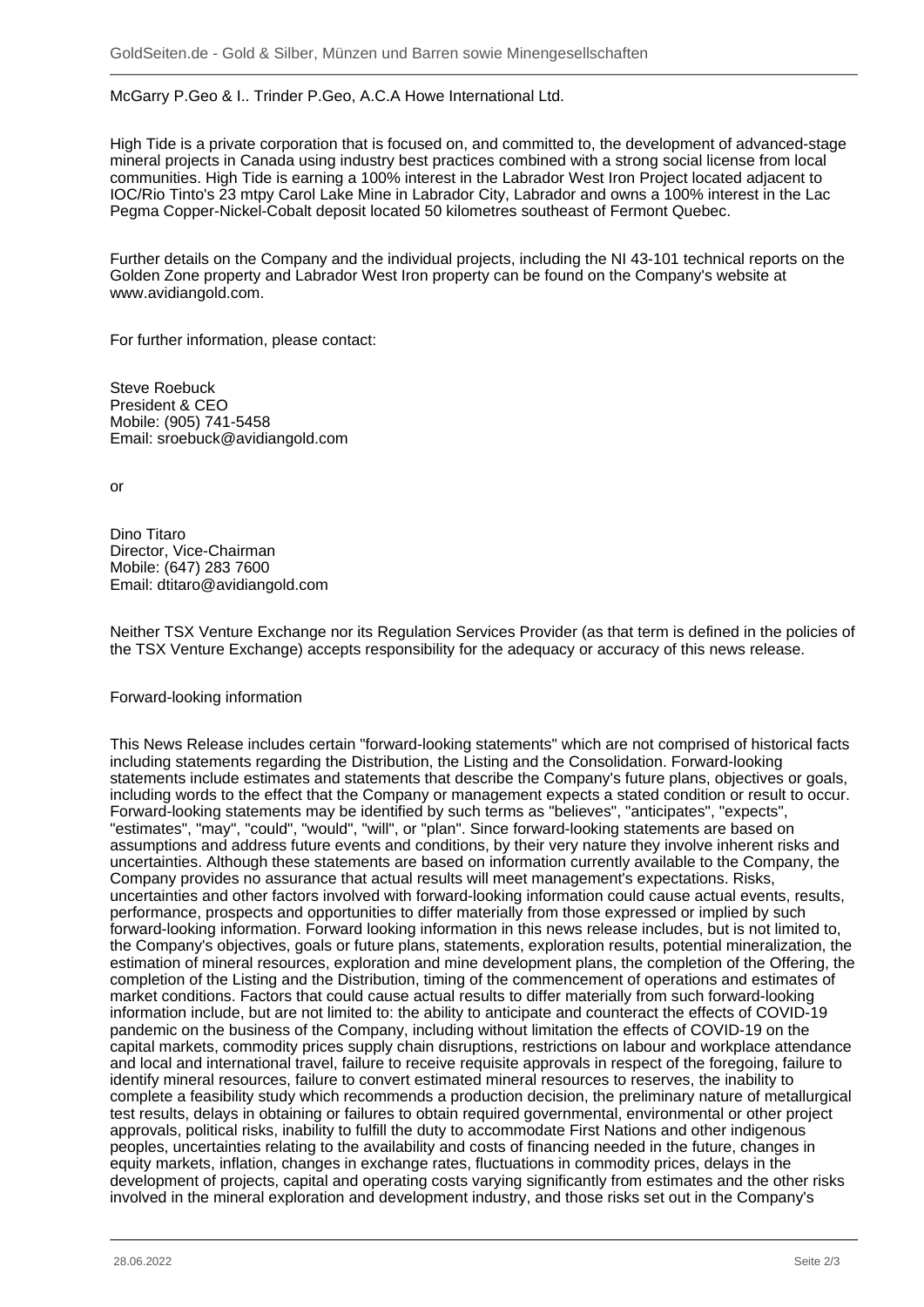# McGarry P.Geo & I.. Trinder P.Geo, A.C.A Howe International Ltd.

High Tide is a private corporation that is focused on, and committed to, the development of advanced-stage mineral projects in Canada using industry best practices combined with a strong social license from local communities. High Tide is earning a 100% interest in the Labrador West Iron Project located adjacent to IOC/Rio Tinto's 23 mtpy Carol Lake Mine in Labrador City, Labrador and owns a 100% interest in the Lac Pegma Copper-Nickel-Cobalt deposit located 50 kilometres southeast of Fermont Quebec.

Further details on the Company and the individual projects, including the NI 43-101 technical reports on the Golden Zone property and Labrador West Iron property can be found on the Company's website at www.avidiangold.com.

For further information, please contact:

Steve Roebuck President & CEO Mobile: (905) 741-5458 Email: sroebuck@avidiangold.com

or

Dino Titaro Director, Vice-Chairman Mobile: (647) 283 7600 Email: dtitaro@avidiangold.com

Neither TSX Venture Exchange nor its Regulation Services Provider (as that term is defined in the policies of the TSX Venture Exchange) accepts responsibility for the adequacy or accuracy of this news release.

# Forward-looking information

This News Release includes certain "forward-looking statements" which are not comprised of historical facts including statements regarding the Distribution, the Listing and the Consolidation. Forward-looking statements include estimates and statements that describe the Company's future plans, objectives or goals, including words to the effect that the Company or management expects a stated condition or result to occur. Forward-looking statements may be identified by such terms as "believes", "anticipates", "expects", "estimates", "may", "could", "would", "will", or "plan". Since forward-looking statements are based on assumptions and address future events and conditions, by their very nature they involve inherent risks and uncertainties. Although these statements are based on information currently available to the Company, the Company provides no assurance that actual results will meet management's expectations. Risks, uncertainties and other factors involved with forward-looking information could cause actual events, results, performance, prospects and opportunities to differ materially from those expressed or implied by such forward-looking information. Forward looking information in this news release includes, but is not limited to, the Company's objectives, goals or future plans, statements, exploration results, potential mineralization, the estimation of mineral resources, exploration and mine development plans, the completion of the Offering, the completion of the Listing and the Distribution, timing of the commencement of operations and estimates of market conditions. Factors that could cause actual results to differ materially from such forward-looking information include, but are not limited to: the ability to anticipate and counteract the effects of COVID-19 pandemic on the business of the Company, including without limitation the effects of COVID-19 on the capital markets, commodity prices supply chain disruptions, restrictions on labour and workplace attendance and local and international travel, failure to receive requisite approvals in respect of the foregoing, failure to identify mineral resources, failure to convert estimated mineral resources to reserves, the inability to complete a feasibility study which recommends a production decision, the preliminary nature of metallurgical test results, delays in obtaining or failures to obtain required governmental, environmental or other project approvals, political risks, inability to fulfill the duty to accommodate First Nations and other indigenous peoples, uncertainties relating to the availability and costs of financing needed in the future, changes in equity markets, inflation, changes in exchange rates, fluctuations in commodity prices, delays in the development of projects, capital and operating costs varying significantly from estimates and the other risks involved in the mineral exploration and development industry, and those risks set out in the Company's